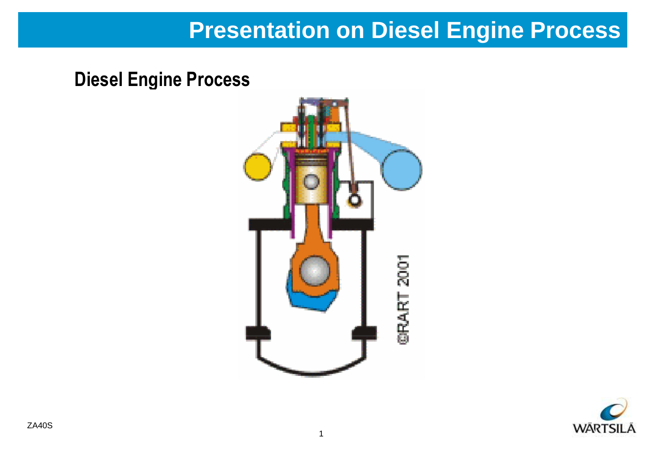### **Presentation on Diesel Engine Process**

**Diesel Engine Process**



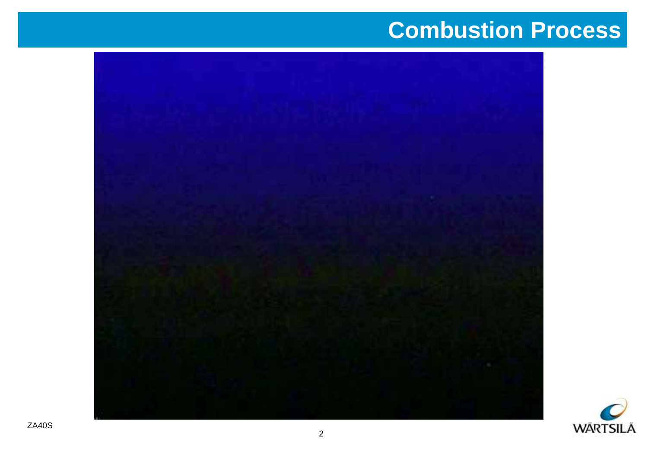## **Combustion Process**



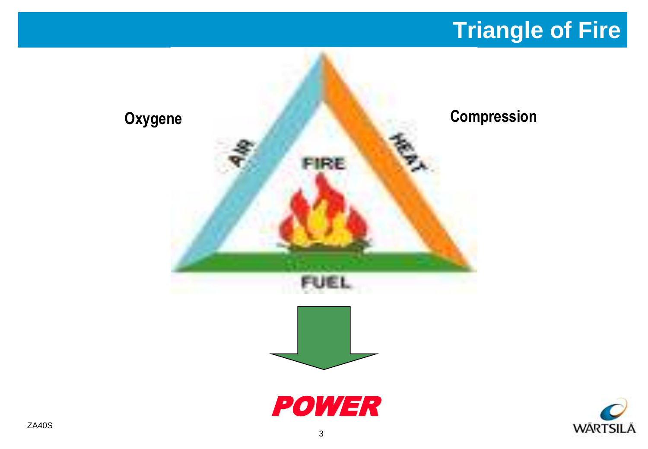# **Triangle of Fire**

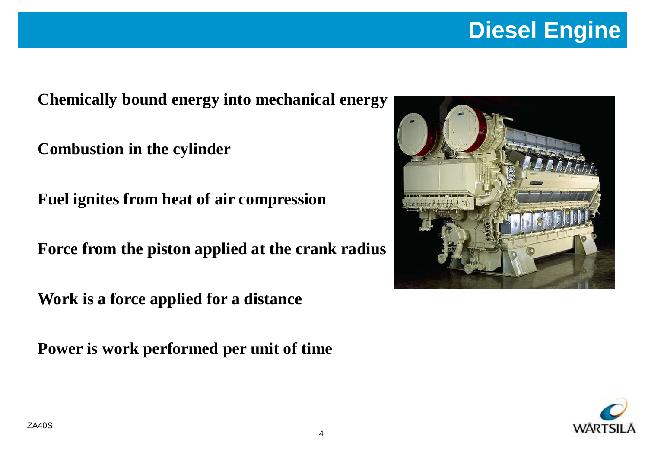# **Diesel Engine**

**Chemically bound energy into mechanical energy**

**Combustion in the cylinder**

**Fuel ignites from heat of air compression**

**Force from the piston applied at the crank radius**

**Work is a force applied for a distance**

**Power is work performed per unit of time**



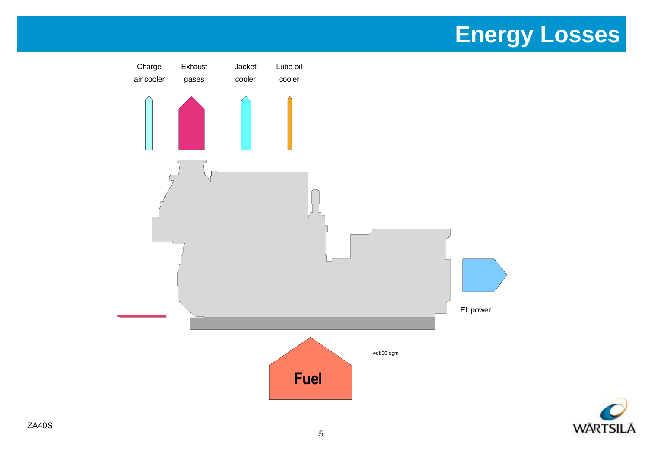## **Energy Losses**



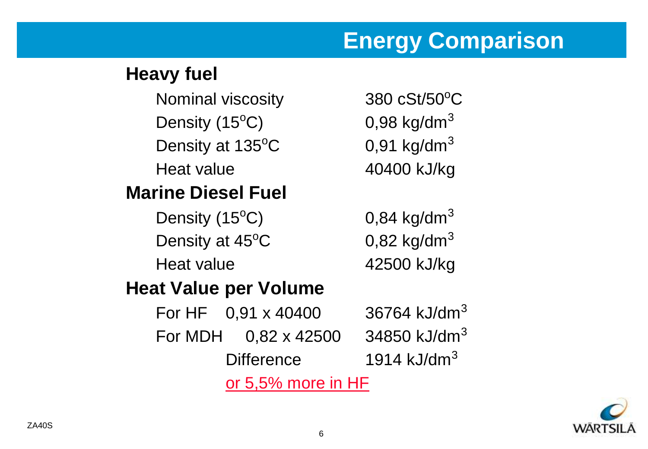## **Energy Comparison**

### **Heavy fuel**

Nominal viscosity 380 cSt/50°C Density  $(15^{\circ}C)$  0,98 kg/dm<sup>3</sup> Density at  $135^{\circ}$ C 0,91 kg/dm<sup>3</sup> Heat value 40400 kJ/kg **Marine Diesel Fuel**

### Density  $(15^{\circ}C)$  0,84 kg/dm<sup>3</sup> Density at  $45^{\circ}$ C 0,82 kg/dm<sup>3</sup> Heat value 42500 kJ/kg

### **Heat Value per Volume**

For HF 0,91 x 40400 36764 kJ/dm<sup>3</sup> For MDH  $0,82 \times 42500$  34850 kJ/dm<sup>3</sup> Difference 1914 kJ/dm<sup>3</sup> or 5,5% more in HF

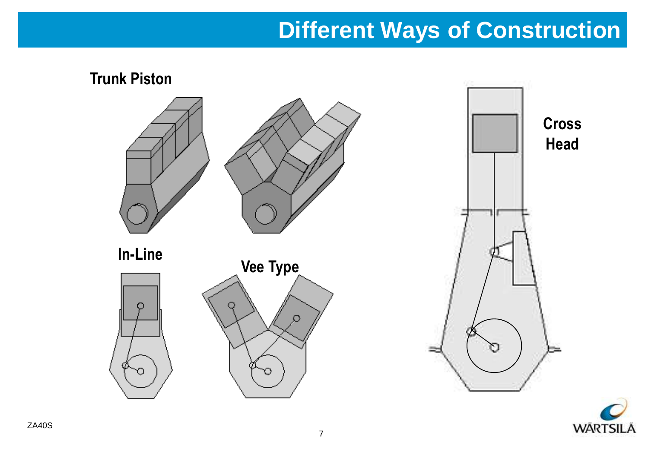## **Different Ways of Construction**



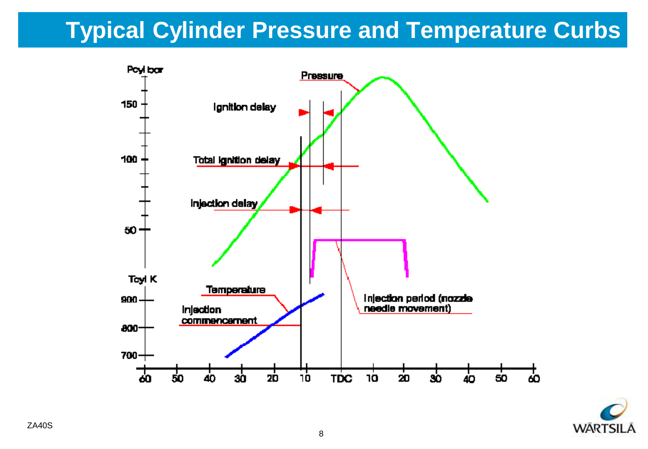# **Typical Cylinder Pressure and Temperature Curbs**



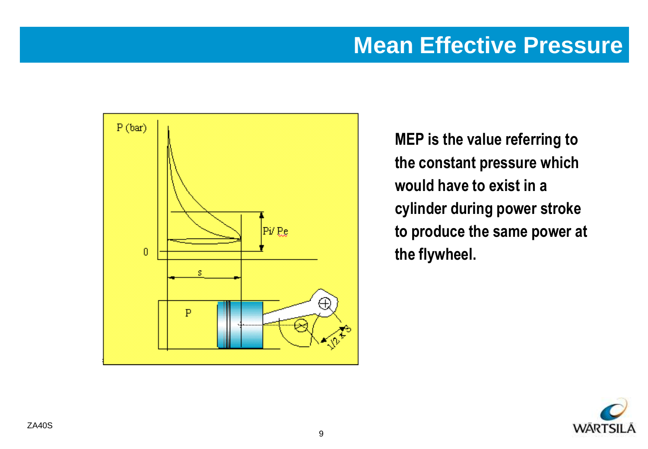### **Mean Effective Pressure**



**MEP is the value referring to the constant pressure which would have to exist in a cylinder during power stroke to produce the same power at the flywheel.**

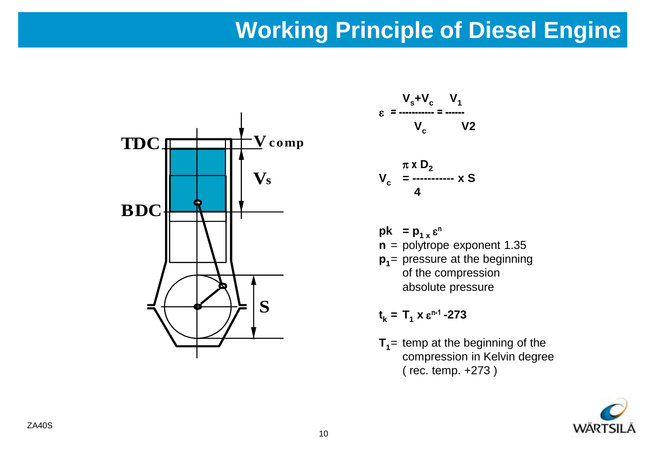## **Working Principle of Diesel Engine**



$$
V_s + V_c \t V_1
$$
  

$$
\varepsilon = \frac{V_s + V_c}{V_c} = \frac{V_1}{V_2}
$$

$$
V_c = \frac{\pi \times D_2}{4}
$$

 $pk$  =  $p_{1 x} \epsilon^n$ **n** = polytrope exponent 1.35 **p1** = pressure at the beginning of the compression absolute pressure

 $t_k = T_1 \times \varepsilon^{n-1} - 273$ 

**T1** = temp at the beginning of the compression in Kelvin degree ( rec. temp. +273 )

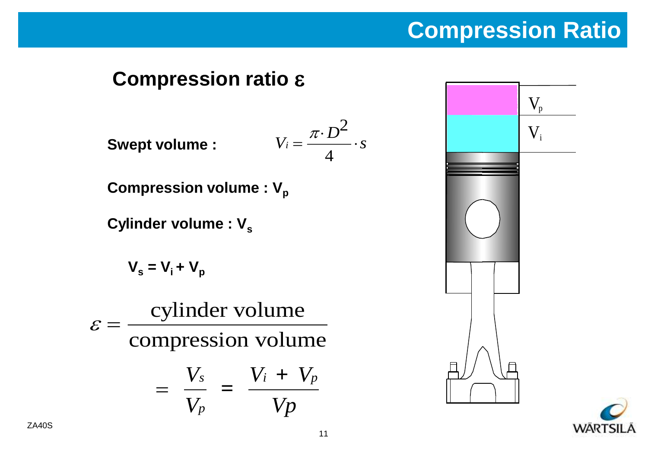# **Compression Ratio**

### **Compression ratio** e

**Swept volume :**

$$
V_i = \frac{\pi \cdot D^2}{4} \cdot s
$$

**Compression volume : V<sub>p</sub>** 

**Cylinder volume : V<sup>s</sup>**

$$
V_s = V_i + V_p
$$

 $\varepsilon =$ cylinder volume compression volume  $=\frac{vs}{x}$  =  $V_s$   $V_i$  + *V*  $V_i + V_j$ *Vp s p*  $i + V_p$ 

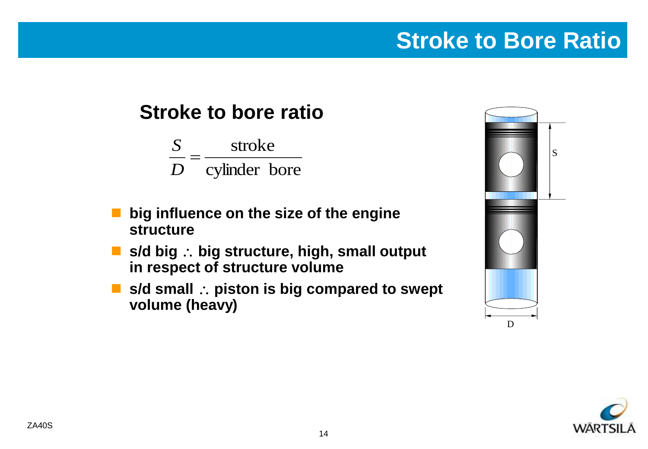## **Stroke to Bore Ratio**

### **Stroke to bore ratio**

cylinder bore stroke Ξ *D S*

- **big influence on the size of the engine structure**
- s/d big ∴ big structure, high, small output **in respect of structure volume**
- s/d small ∴ piston is big compared to swept **volume (heavy)**



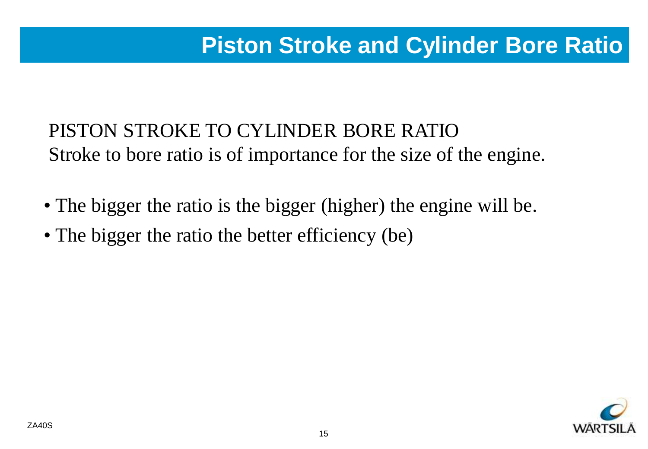### **Design Boys Dette Piston Stroke and Cylinder Bore Ratio**

### PISTON STROKE TO CYLINDER BORE RATIO Stroke to bore ratio is of importance for the size of the engine.

- The bigger the ratio is the bigger (higher) the engine will be.
- The bigger the ratio the better efficiency (be)

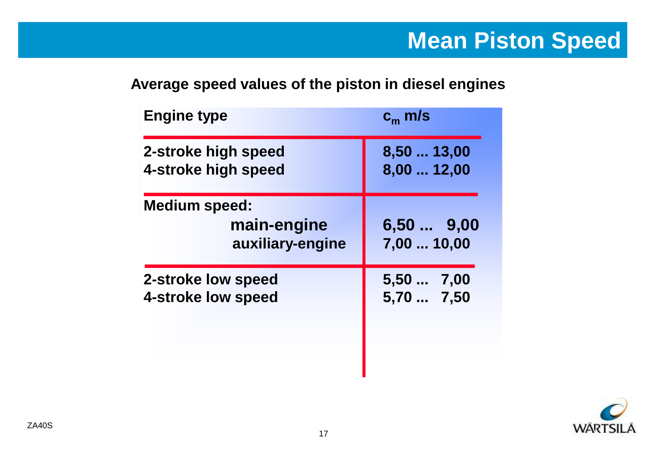#### **Average speed values of the piston in diesel engines**

| <b>Engine type</b>                                      | $c_m$ m/s                  |
|---------------------------------------------------------|----------------------------|
| 2-stroke high speed                                     | 8,50  13,00                |
| 4-stroke high speed                                     | 8,00  12,00                |
| <b>Medium speed:</b><br>main-engine<br>auxiliary-engine | $6,50$ 9,00<br>7,00  10,00 |
| 2-stroke low speed                                      | 5,507,00                   |
| 4-stroke low speed                                      | 5,70  7,50                 |

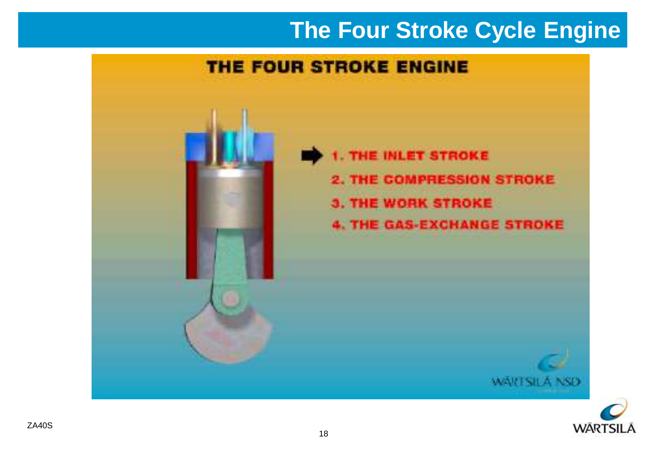## **The Four Stroke Cycle Engine**

### THE FOUR STROKE ENGINE



1. THE INLET STROKE **2. THE COMPRESSION STROKE 3. THE WORK STROKE 4. THE GAS-EXCHANGE STROKE** 



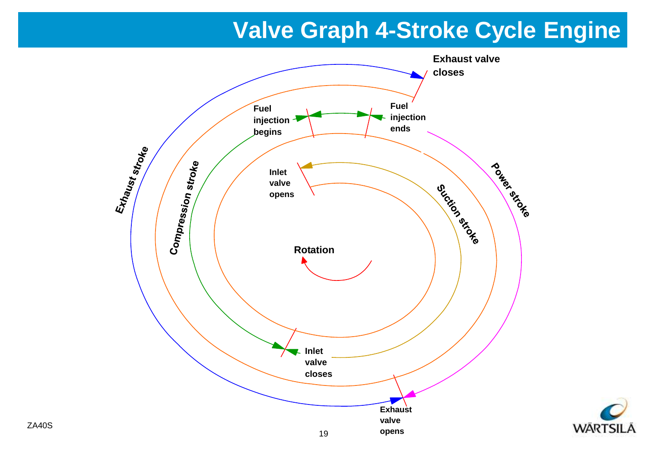## **Valve Graph 4-Stroke Cycle Engine**



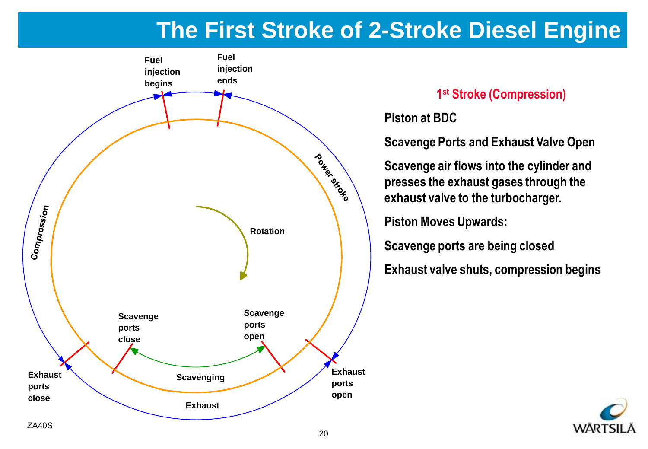## **The First Stroke of 2-Stroke Diesel Engine**



#### **1 st Stroke (Compression)**

**Piston at BDC**

**Scavenge Ports and Exhaust Valve Open**

**Scavenge air flows into the cylinder and presses the exhaust gases through the exhaust valve to the turbocharger.**

**Piston Moves Upwards:**

**Scavenge ports are being closed** 

**Exhaust valve shuts, compression begins**

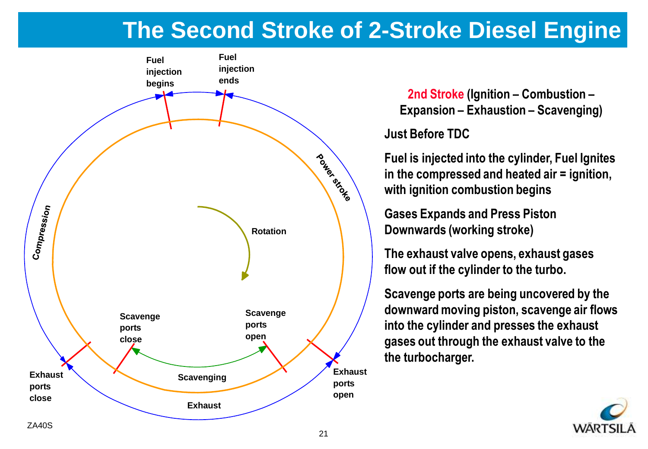### **The Second Stroke of 2-Stroke Diesel Engine**



**2nd Stroke (Ignition – Combustion – Expansion – Exhaustion – Scavenging)**

**Just Before TDC**

**Fuel is injected into the cylinder, Fuel Ignites in the compressed and heated air = ignition, with ignition combustion begins**

**Gases Expands and Press Piston Downwards (working stroke)**

**The exhaust valve opens, exhaust gases flow out if the cylinder to the turbo.**

**Scavenge ports are being uncovered by the downward moving piston, scavenge air flows into the cylinder and presses the exhaust gases out through the exhaust valve to the the turbocharger.**

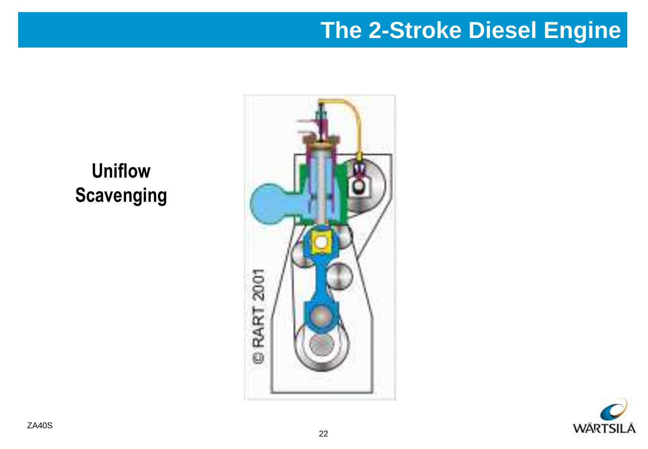## **The 2-Stroke Diesel Engine**

**Uniflow Scavenging**



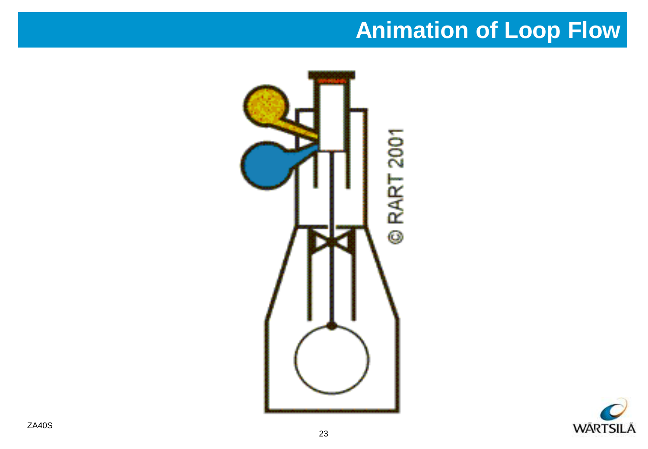## **Animation of Loop Flow**



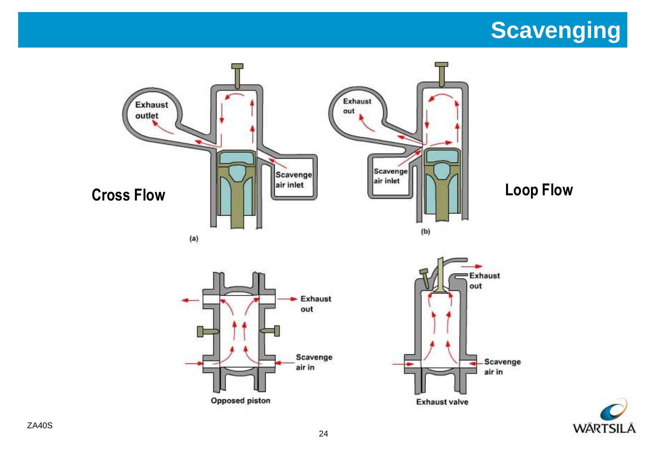# **Scavenging**

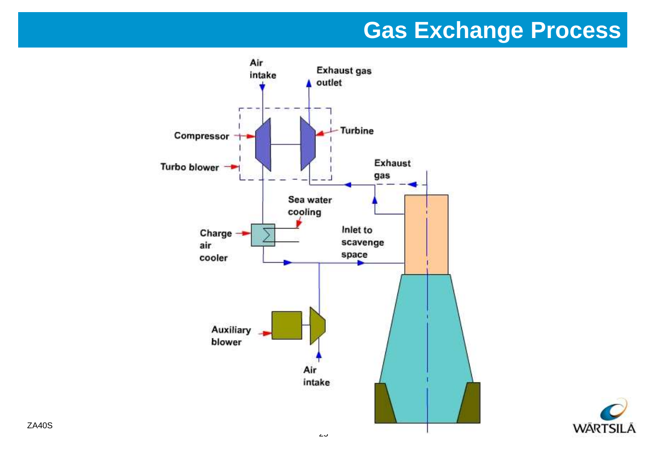### **Gas Exchange Process**



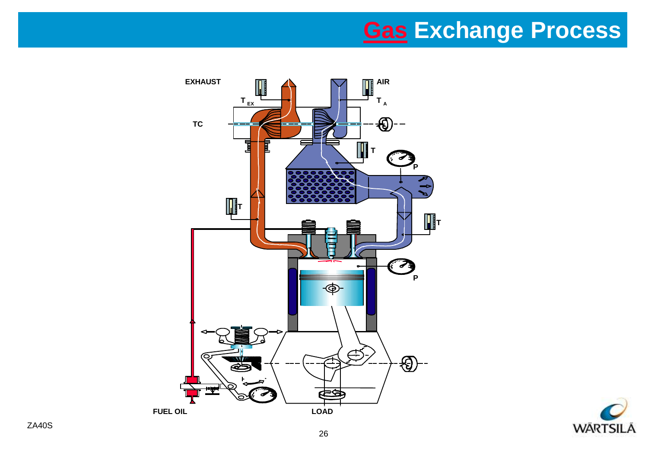## **[Gas](3 Main Data.ppt) Exchange Process**



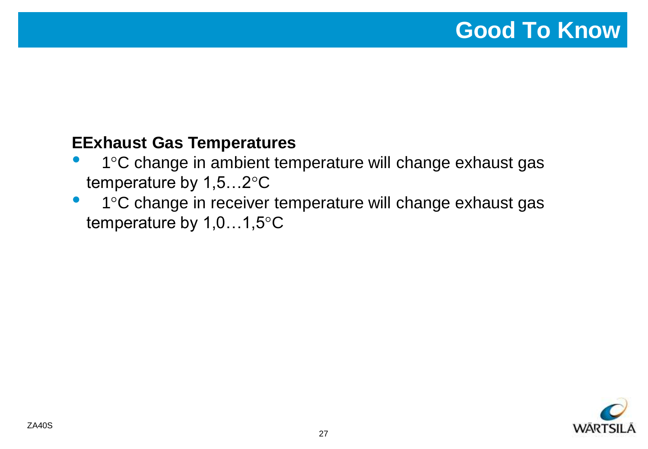#### **EExhaust Gas Temperatures**

- 1°C change in ambient temperature will change exhaust gas temperature by 1,5…2°C
- 1°C change in receiver temperature will change exhaust gas temperature by 1,0…1,5°C